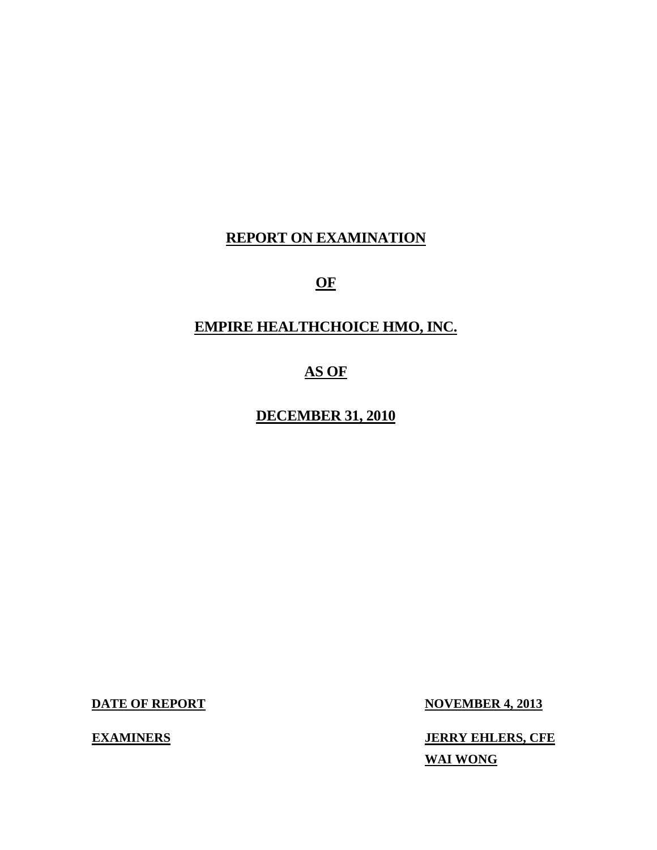# **REPORT ON EXAMINATION**

**OF** 

# **EMPIRE HEALTHCHOICE HMO, INC.**

# **AS OF**

**DECEMBER 31, 2010** 

**DATE OF REPORT NOVEMBER 4, 2013** 

**EXAMINERS IERRY EHLERS, CFE WAI WONG**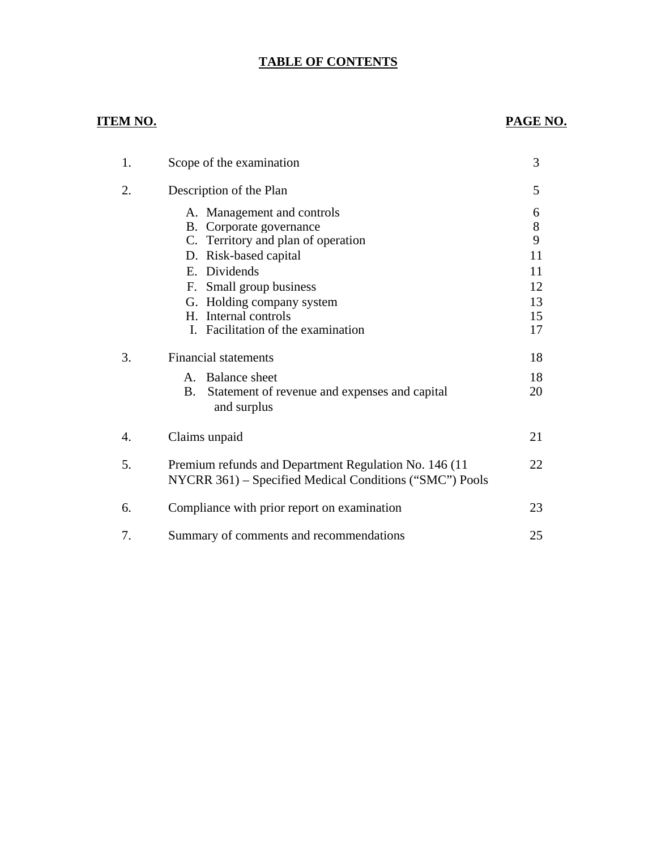# **TABLE OF CONTENTS**

# **ITEM NO. PAGE NO.**

| 1. | Scope of the examination                                   | 3     |
|----|------------------------------------------------------------|-------|
| 2. | Description of the Plan                                    | 5     |
|    | A. Management and controls                                 | 6     |
|    | B. Corporate governance                                    | $8\,$ |
|    | C. Territory and plan of operation                         | 9     |
|    | D. Risk-based capital                                      | 11    |
|    | E. Dividends                                               | 11    |
|    | F. Small group business                                    | 12    |
|    | G. Holding company system                                  | 13    |
|    | H. Internal controls                                       | 15    |
|    | I. Facilitation of the examination                         | 17    |
| 3. | <b>Financial statements</b>                                | 18    |
|    | <b>Balance</b> sheet<br>$\mathbf{A}$                       | 18    |
|    | <b>B.</b><br>Statement of revenue and expenses and capital | 20    |
|    | and surplus                                                |       |
| 4. | Claims unpaid                                              | 21    |
|    |                                                            |       |
| 5. | Premium refunds and Department Regulation No. 146 (11)     | 22    |
|    | NYCRR 361) – Specified Medical Conditions ("SMC") Pools    |       |
| 6. | Compliance with prior report on examination                | 23    |
|    |                                                            |       |
| 7. | Summary of comments and recommendations                    | 25    |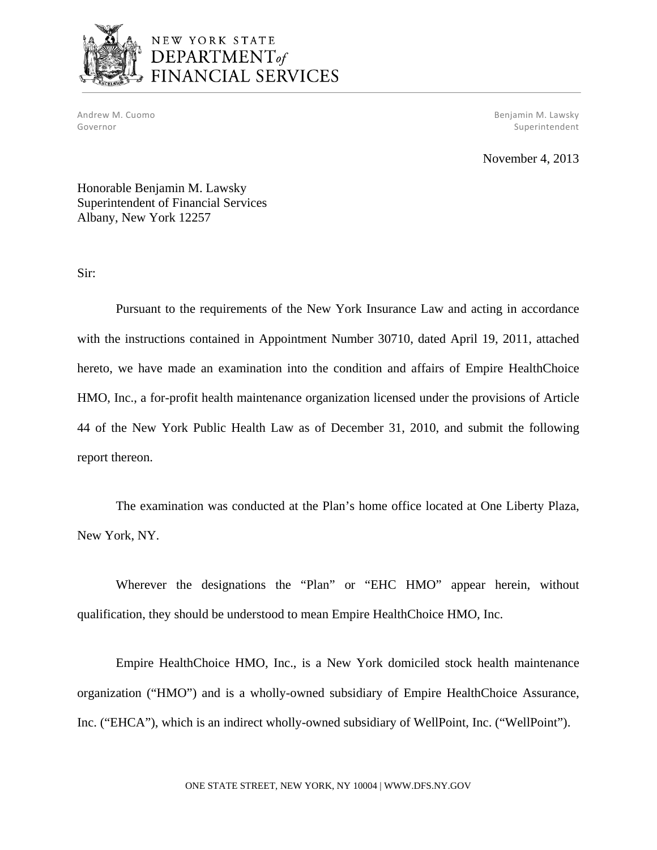

# NEW YORK STATE DEPARTMENT<sub>of</sub> FINANCIAL SERVICES

Andrew M. Cuomo Benjamin M. Lawsky Governor Superintendent Superintendent Superintendent Superintendent Superintendent Superintendent Superintendent

November 4, 2013

Honorable Benjamin M. Lawsky Superintendent of Financial Services Albany, New York 12257

Sir:

Pursuant to the requirements of the New York Insurance Law and acting in accordance with the instructions contained in Appointment Number 30710, dated April 19, 2011, attached hereto, we have made an examination into the condition and affairs of Empire HealthChoice HMO, Inc., a for-profit health maintenance organization licensed under the provisions of Article 44 of the New York Public Health Law as of December 31, 2010, and submit the following report thereon.

The examination was conducted at the Plan's home office located at One Liberty Plaza, New York, NY.

Wherever the designations the "Plan" or "EHC HMO" appear herein, without qualification, they should be understood to mean Empire HealthChoice HMO, Inc.

Empire HealthChoice HMO, Inc., is a New York domiciled stock health maintenance organization ("HMO") and is a wholly-owned subsidiary of Empire HealthChoice Assurance, Inc. ("EHCA"), which is an indirect wholly-owned subsidiary of WellPoint, Inc. ("WellPoint").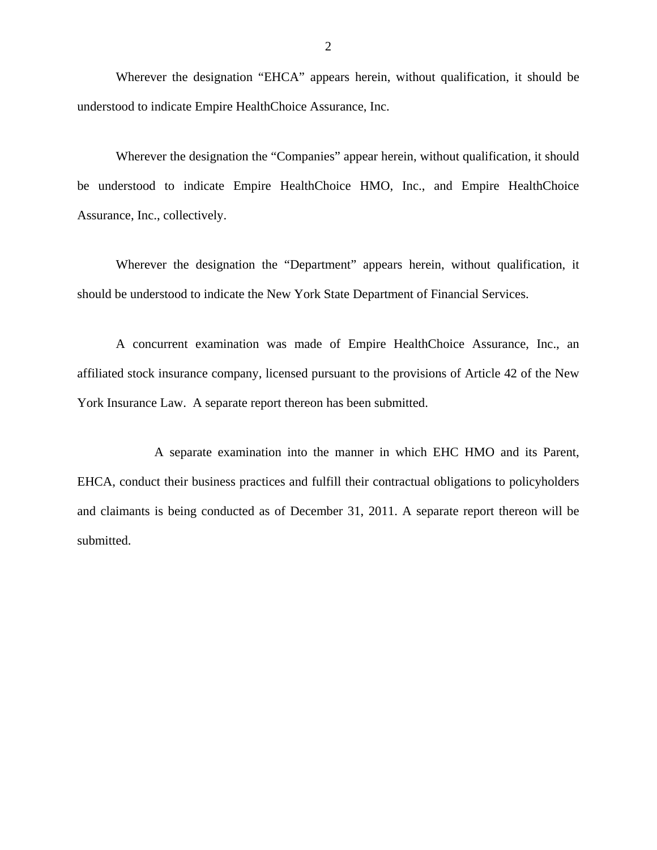Wherever the designation "EHCA" appears herein, without qualification, it should be understood to indicate Empire HealthChoice Assurance, Inc.

Wherever the designation the "Companies" appear herein, without qualification, it should be understood to indicate Empire HealthChoice HMO, Inc., and Empire HealthChoice Assurance, Inc., collectively.

Wherever the designation the "Department" appears herein, without qualification, it should be understood to indicate the New York State Department of Financial Services.

A concurrent examination was made of Empire HealthChoice Assurance, Inc., an affiliated stock insurance company, licensed pursuant to the provisions of Article 42 of the New York Insurance Law. A separate report thereon has been submitted.

A separate examination into the manner in which EHC HMO and its Parent, EHCA, conduct their business practices and fulfill their contractual obligations to policyholders and claimants is being conducted as of December 31, 2011. A separate report thereon will be submitted.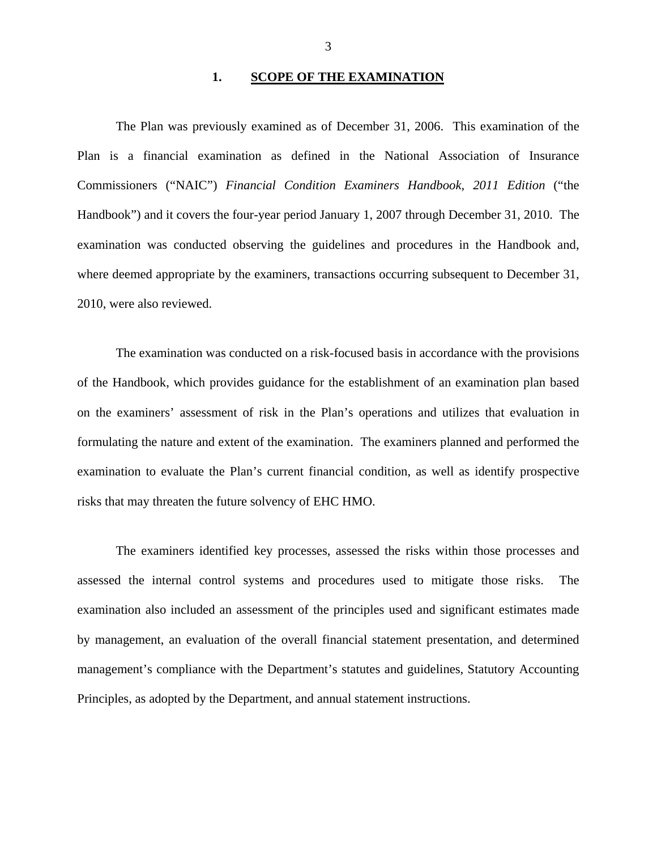## **1. SCOPE OF THE EXAMINATION**

The Plan was previously examined as of December 31, 2006. This examination of the Plan is a financial examination as defined in the National Association of Insurance Commissioners ("NAIC") *Financial Condition Examiners Handbook, 2011 Edition* ("the Handbook") and it covers the four-year period January 1, 2007 through December 31, 2010. The examination was conducted observing the guidelines and procedures in the Handbook and, where deemed appropriate by the examiners, transactions occurring subsequent to December 31, 2010, were also reviewed.

The examination was conducted on a risk-focused basis in accordance with the provisions of the Handbook, which provides guidance for the establishment of an examination plan based on the examiners' assessment of risk in the Plan's operations and utilizes that evaluation in formulating the nature and extent of the examination. The examiners planned and performed the examination to evaluate the Plan's current financial condition, as well as identify prospective risks that may threaten the future solvency of EHC HMO.

The examiners identified key processes, assessed the risks within those processes and assessed the internal control systems and procedures used to mitigate those risks. The examination also included an assessment of the principles used and significant estimates made by management, an evaluation of the overall financial statement presentation, and determined management's compliance with the Department's statutes and guidelines, Statutory Accounting Principles, as adopted by the Department, and annual statement instructions.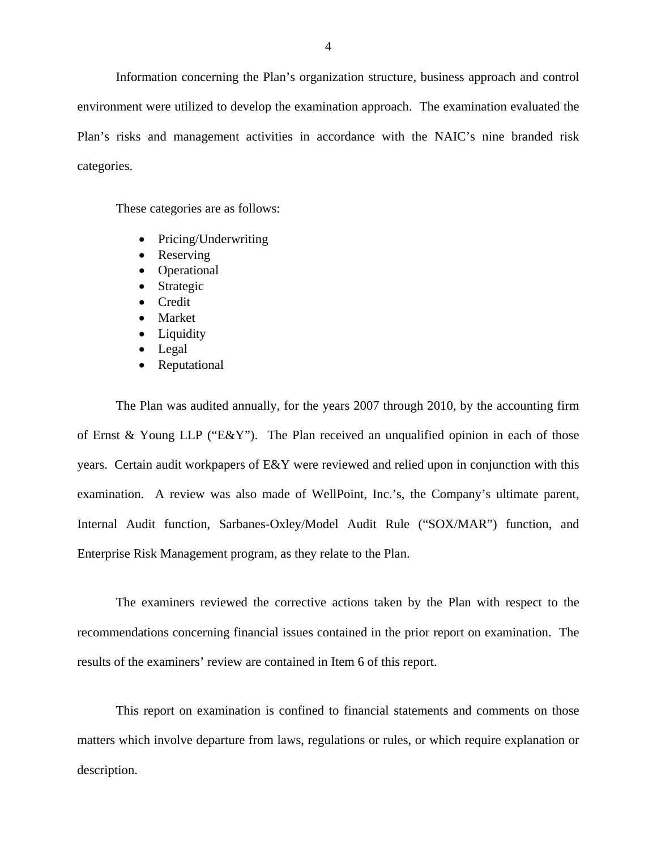Information concerning the Plan's organization structure, business approach and control environment were utilized to develop the examination approach. The examination evaluated the Plan's risks and management activities in accordance with the NAIC's nine branded risk categories.

These categories are as follows:

- Pricing/Underwriting
- Reserving
- Operational
- Strategic
- Credit
- Market
- Liquidity
- Legal
- Reputational

The Plan was audited annually, for the years 2007 through 2010, by the accounting firm of Ernst & Young LLP ("E&Y"). The Plan received an unqualified opinion in each of those years. Certain audit workpapers of E&Y were reviewed and relied upon in conjunction with this examination. A review was also made of WellPoint, Inc.'s, the Company's ultimate parent, Internal Audit function, Sarbanes-Oxley/Model Audit Rule ("SOX/MAR") function, and Enterprise Risk Management program, as they relate to the Plan.

The examiners reviewed the corrective actions taken by the Plan with respect to the recommendations concerning financial issues contained in the prior report on examination. The results of the examiners' review are contained in Item 6 of this report.

This report on examination is confined to financial statements and comments on those matters which involve departure from laws, regulations or rules, or which require explanation or description.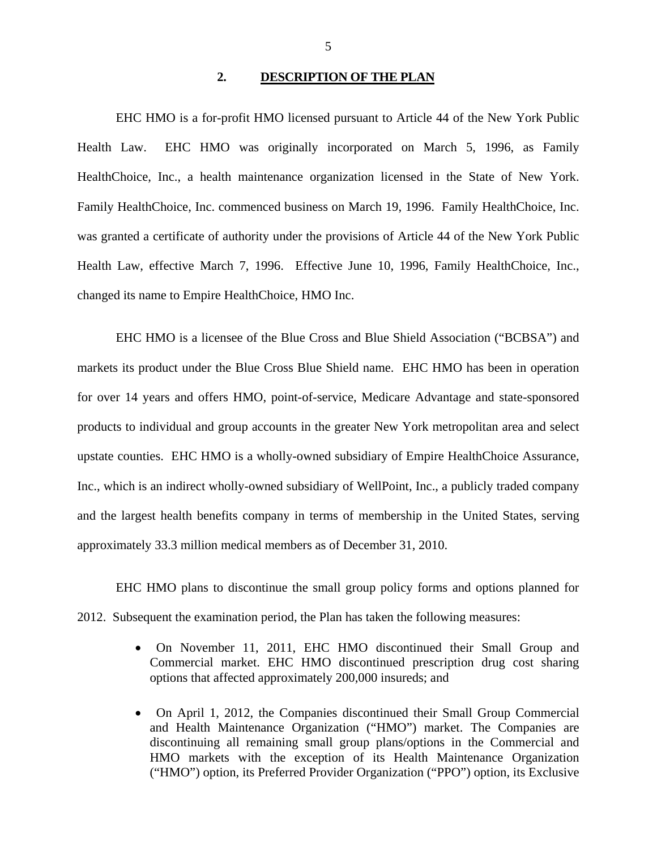#### **2. DESCRIPTION OF THE PLAN**

EHC HMO is a for-profit HMO licensed pursuant to Article 44 of the New York Public Health Law. EHC HMO was originally incorporated on March 5, 1996, as Family HealthChoice, Inc., a health maintenance organization licensed in the State of New York. Family HealthChoice, Inc. commenced business on March 19, 1996. Family HealthChoice, Inc. was granted a certificate of authority under the provisions of Article 44 of the New York Public Health Law, effective March 7, 1996. Effective June 10, 1996, Family HealthChoice, Inc., changed its name to Empire HealthChoice, HMO Inc.

EHC HMO is a licensee of the Blue Cross and Blue Shield Association ("BCBSA") and markets its product under the Blue Cross Blue Shield name. EHC HMO has been in operation for over 14 years and offers HMO, point-of-service, Medicare Advantage and state-sponsored products to individual and group accounts in the greater New York metropolitan area and select upstate counties. EHC HMO is a wholly-owned subsidiary of Empire HealthChoice Assurance, Inc., which is an indirect wholly-owned subsidiary of WellPoint, Inc., a publicly traded company and the largest health benefits company in terms of membership in the United States, serving approximately 33.3 million medical members as of December 31, 2010.

EHC HMO plans to discontinue the small group policy forms and options planned for 2012. Subsequent the examination period, the Plan has taken the following measures:

- On November 11, 2011, EHC HMO discontinued their Small Group and Commercial market. EHC HMO discontinued prescription drug cost sharing options that affected approximately 200,000 insureds; and
- On April 1, 2012, the Companies discontinued their Small Group Commercial and Health Maintenance Organization ("HMO") market. The Companies are discontinuing all remaining small group plans/options in the Commercial and HMO markets with the exception of its Health Maintenance Organization ("HMO") option, its Preferred Provider Organization ("PPO") option, its Exclusive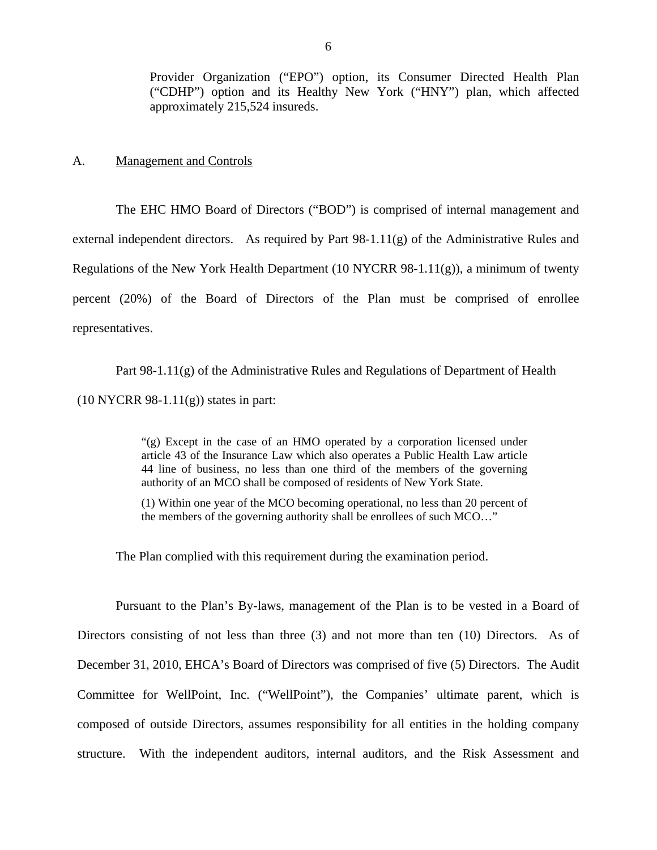<span id="page-7-0"></span>Provider Organization ("EPO") option, its Consumer Directed Health Plan ("CDHP") option and its Healthy New York ("HNY") plan, which affected approximately 215,524 insureds.

A. Management and Controls

The EHC HMO Board of Directors ("BOD") is comprised of internal management and external independent directors. As required by Part 98-1.11(g) of the Administrative Rules and Regulations of the New York Health Department (10 NYCRR 98-1.11(g)), a minimum of twenty percent (20%) of the Board of Directors of the Plan must be comprised of enrollee representatives.

Part 98-1.11(g) of the Administrative Rules and Regulations of Department of Health  $(10 NYCRR 98-1.11(g))$  states in part:

> "(g) Except in the case of an HMO operated by a corporation licensed under article 43 of the Insurance Law which also operates a Public Health Law article 44 line of business, no less than one third of the members of the governing authority of an MCO shall be composed of residents of New York State.

> (1) Within one year of the MCO becoming operational, no less than 20 percent of the members of the governing authority shall be enrollees of such MCO…"

The Plan complied with this requirement during the examination period.

Pursuant to the Plan's By-laws, management of the Plan is to be vested in a Board of Directors consisting of not less than three (3) and not more than ten (10) Directors. As of December 31, 2010, EHCA's Board of Directors was comprised of five (5) Directors. The Audit Committee for WellPoint, Inc. ("WellPoint"), the Companies' ultimate parent, which is composed of outside Directors, assumes responsibility for all entities in the holding company structure. With the independent auditors, internal auditors, and the Risk Assessment and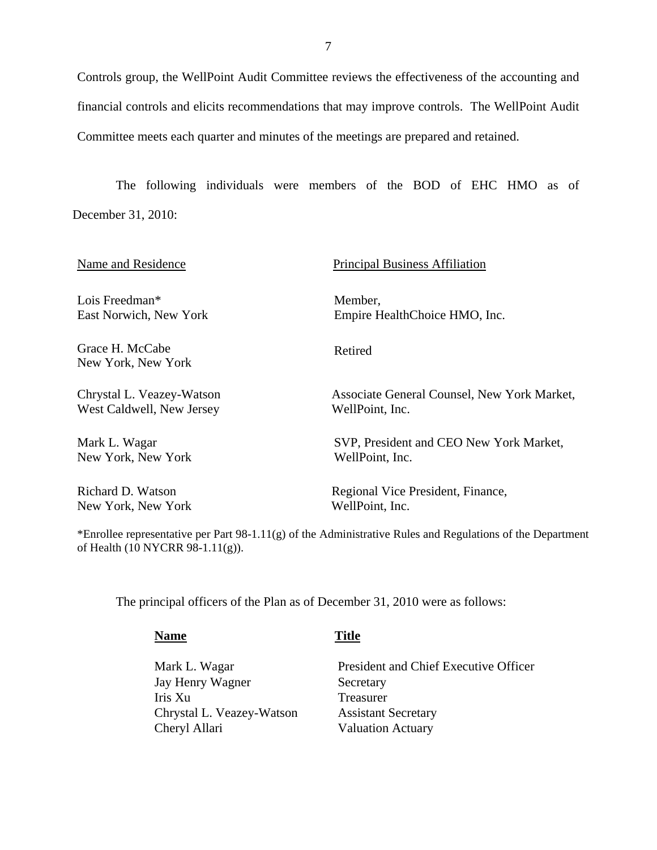Controls group, the WellPoint Audit Committee reviews the effectiveness of the accounting and financial controls and elicits recommendations that may improve controls. The WellPoint Audit Committee meets each quarter and minutes of the meetings are prepared and retained.

The following individuals were members of the BOD of EHC HMO as of December 31, 2010:

| Name and Residence                                     | <b>Principal Business Affiliation</b>                          |
|--------------------------------------------------------|----------------------------------------------------------------|
| Lois Freedman*                                         | Member,                                                        |
| East Norwich, New York                                 | Empire HealthChoice HMO, Inc.                                  |
| Grace H. McCabe<br>New York, New York                  | Retired                                                        |
| Chrystal L. Veazey-Watson<br>West Caldwell, New Jersey | Associate General Counsel, New York Market,<br>WellPoint, Inc. |
| Mark L. Wagar<br>New York, New York                    | SVP, President and CEO New York Market,<br>WellPoint, Inc.     |
| Richard D. Watson                                      | Regional Vice President, Finance,                              |
| New York, New York                                     | WellPoint, Inc.                                                |

\*Enrollee representative per Part 98-1.11(g) of the Administrative Rules and Regulations of the Department of Health (10 NYCRR 98-1.11(g)).

The principal officers of the Plan as of December 31, 2010 were as follows:

Mark L. Wagar Jay Henry Wagner Iris Xu Chrystal L. Veazey-Watson Cheryl Allari

**Name** Title

President and Chief Executive Officer Secretary Treasurer Assistant Secretary Valuation Actuary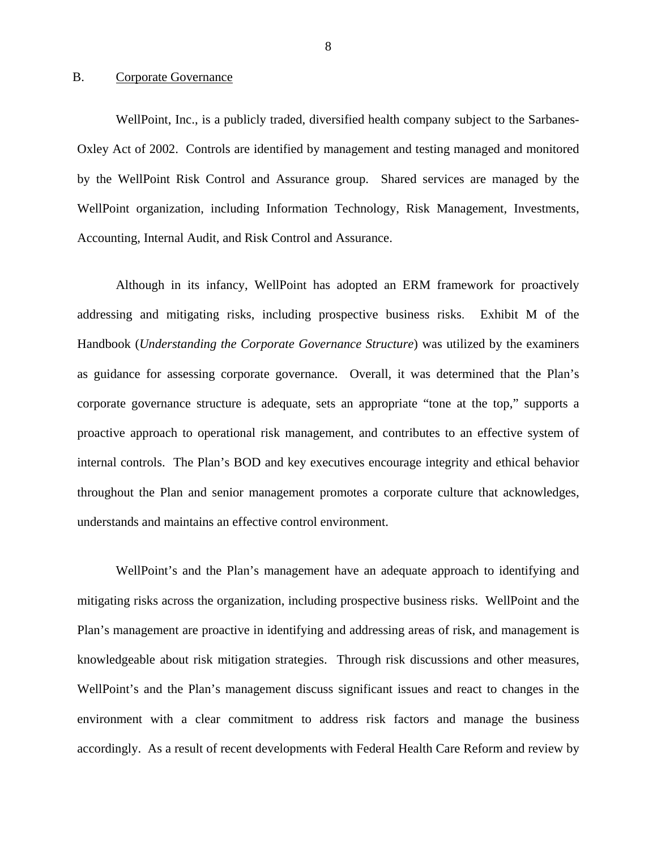#### <span id="page-9-0"></span>B. Corporate Governance

WellPoint, Inc., is a publicly traded, diversified health company subject to the Sarbanes-Oxley Act of 2002. Controls are identified by management and testing managed and monitored by the WellPoint Risk Control and Assurance group. Shared services are managed by the WellPoint organization, including Information Technology, Risk Management, Investments, Accounting, Internal Audit, and Risk Control and Assurance.

Although in its infancy, WellPoint has adopted an ERM framework for proactively addressing and mitigating risks, including prospective business risks. Exhibit M of the Handbook (*Understanding the Corporate Governance Structure*) was utilized by the examiners as guidance for assessing corporate governance. Overall, it was determined that the Plan's corporate governance structure is adequate, sets an appropriate "tone at the top," supports a proactive approach to operational risk management, and contributes to an effective system of internal controls. The Plan's BOD and key executives encourage integrity and ethical behavior throughout the Plan and senior management promotes a corporate culture that acknowledges, understands and maintains an effective control environment.

WellPoint's and the Plan's management have an adequate approach to identifying and mitigating risks across the organization, including prospective business risks. WellPoint and the Plan's management are proactive in identifying and addressing areas of risk, and management is knowledgeable about risk mitigation strategies. Through risk discussions and other measures, WellPoint's and the Plan's management discuss significant issues and react to changes in the environment with a clear commitment to address risk factors and manage the business accordingly. As a result of recent developments with Federal Health Care Reform and review by

8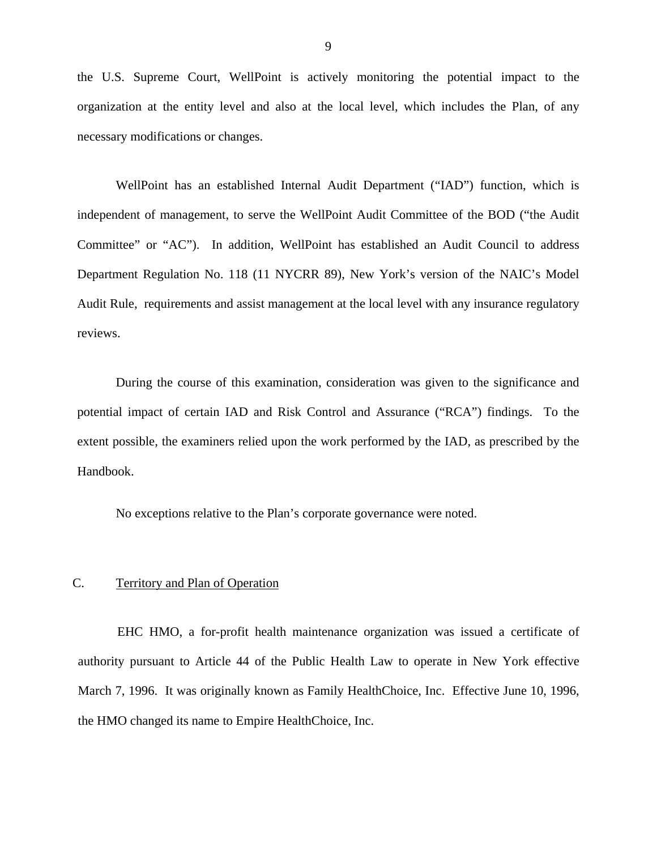<span id="page-10-0"></span>the U.S. Supreme Court, WellPoint is actively monitoring the potential impact to the organization at the entity level and also at the local level, which includes the Plan, of any necessary modifications or changes.

WellPoint has an established Internal Audit Department ("IAD") function, which is independent of management, to serve the WellPoint Audit Committee of the BOD ("the Audit Committee" or "AC"). In addition, WellPoint has established an Audit Council to address Department Regulation No. 118 (11 NYCRR 89), New York's version of the NAIC's Model Audit Rule, requirements and assist management at the local level with any insurance regulatory reviews.

During the course of this examination, consideration was given to the significance and potential impact of certain IAD and Risk Control and Assurance ("RCA") findings. To the extent possible, the examiners relied upon the work performed by the IAD, as prescribed by the Handbook.

No exceptions relative to the Plan's corporate governance were noted.

#### C. Territory and Plan of Operation

 the HMO changed its name to Empire HealthChoice, Inc. EHC HMO, a for-profit health maintenance organization was issued a certificate of authority pursuant to Article 44 of the Public Health Law to operate in New York effective March 7, 1996. It was originally known as Family HealthChoice, Inc. Effective June 10, 1996,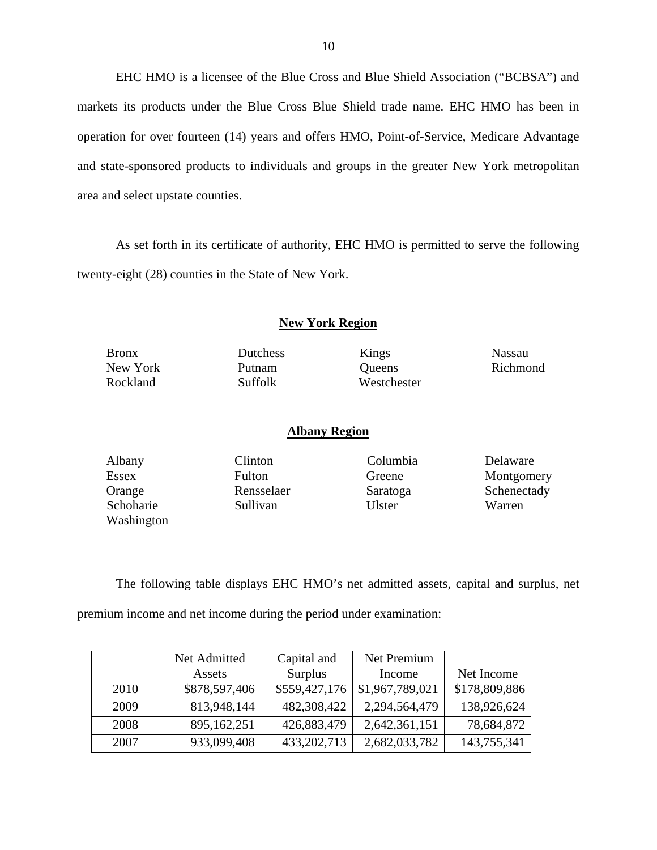EHC HMO is a licensee of the Blue Cross and Blue Shield Association ("BCBSA") and markets its products under the Blue Cross Blue Shield trade name. EHC HMO has been in operation for over fourteen (14) years and offers HMO, Point-of-Service, Medicare Advantage and state-sponsored products to individuals and groups in the greater New York metropolitan area and select upstate counties.

As set forth in its certificate of authority, EHC HMO is permitted to serve the following twenty-eight (28) counties in the State of New York.

#### **New York Region**

Bronx Dutchess Kings Nassau

Suffolk

New York Putnam Queens Richmond Rockland Suffolk Westchester

#### **Albany Region**

 Washington Schoharie Sullivan Ulster Warren

Albany Clinton Columbia Delaware

Essex Fulton Greene Montgomery Orange Rensselaer Saratoga Schenectady

The following table displays EHC HMO's net admitted assets, capital and surplus, net premium income and net income during the period under examination:

|      | Net Admitted  | Capital and   | Net Premium     |               |
|------|---------------|---------------|-----------------|---------------|
|      | Assets        | Surplus       | Income          | Net Income    |
| 2010 | \$878,597,406 | \$559,427,176 | \$1,967,789,021 | \$178,809,886 |
| 2009 | 813,948,144   | 482,308,422   | 2,294,564,479   | 138,926,624   |
| 2008 | 895,162,251   | 426,883,479   | 2,642,361,151   | 78,684,872    |
| 2007 | 933,099,408   | 433, 202, 713 | 2,682,033,782   | 143,755,341   |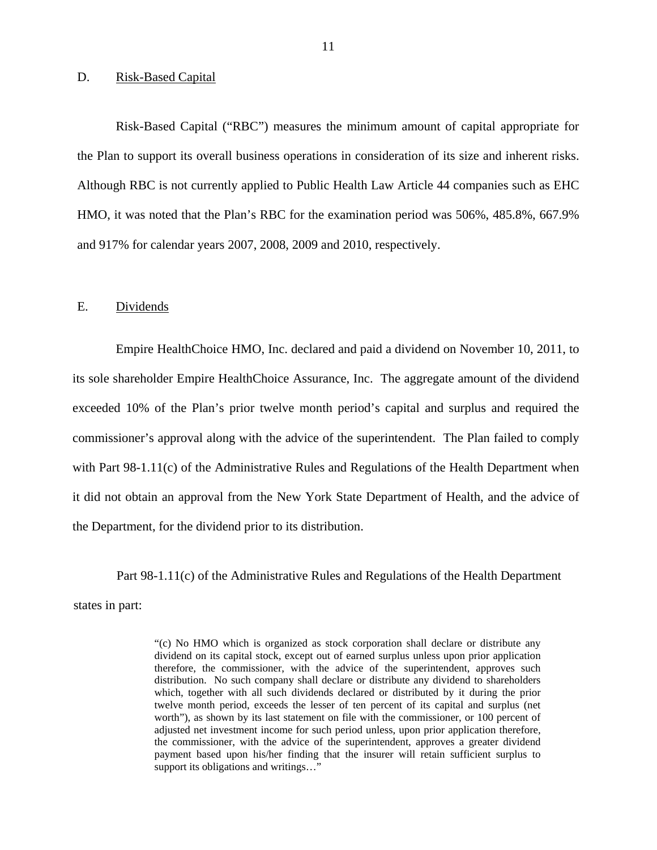#### <span id="page-12-0"></span>D. Risk-Based Capital

Risk-Based Capital ("RBC") measures the minimum amount of capital appropriate for the Plan to support its overall business operations in consideration of its size and inherent risks. Although RBC is not currently applied to Public Health Law Article 44 companies such as EHC HMO, it was noted that the Plan's RBC for the examination period was 506%, 485.8%, 667.9% and 917% for calendar years 2007, 2008, 2009 and 2010, respectively.

#### E. Dividends

Empire HealthChoice HMO, Inc. declared and paid a dividend on November 10, 2011, to its sole shareholder Empire HealthChoice Assurance, Inc. The aggregate amount of the dividend exceeded 10% of the Plan's prior twelve month period's capital and surplus and required the commissioner's approval along with the advice of the superintendent. The Plan failed to comply with Part 98-1.11(c) of the Administrative Rules and Regulations of the Health Department when it did not obtain an approval from the New York State Department of Health, and the advice of the Department, for the dividend prior to its distribution.

Part 98-1.11(c) of the Administrative Rules and Regulations of the Health Department states in part:

> dividend on its capital stock, except out of earned surplus unless upon prior application "(c) No HMO which is organized as stock corporation shall declare or distribute any therefore, the commissioner, with the advice of the superintendent, approves such distribution. No such company shall declare or distribute any dividend to shareholders which, together with all such dividends declared or distributed by it during the prior twelve month period, exceeds the lesser of ten percent of its capital and surplus (net worth"), as shown by its last statement on file with the commissioner, or 100 percent of adjusted net investment income for such period unless, upon prior application therefore, the commissioner, with the advice of the superintendent, approves a greater dividend payment based upon his/her finding that the insurer will retain sufficient surplus to support its obligations and writings…"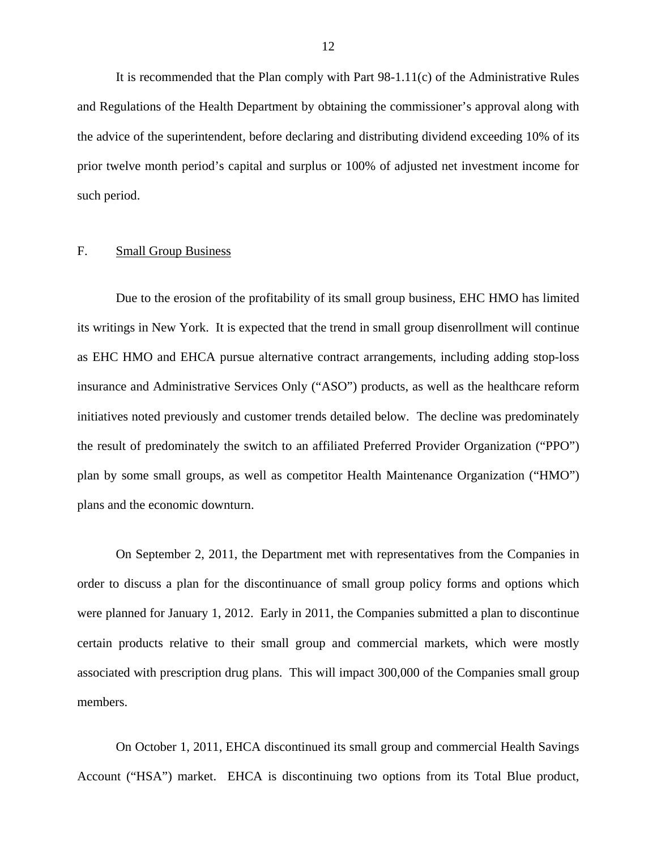<span id="page-13-0"></span>It is recommended that the Plan comply with Part  $98-1.11(c)$  of the Administrative Rules and Regulations of the Health Department by obtaining the commissioner's approval along with the advice of the superintendent, before declaring and distributing dividend exceeding 10% of its prior twelve month period's capital and surplus or 100% of adjusted net investment income for such period.

#### F. Small Group Business

Due to the erosion of the profitability of its small group business, EHC HMO has limited its writings in New York. It is expected that the trend in small group disenrollment will continue as EHC HMO and EHCA pursue alternative contract arrangements, including adding stop-loss insurance and Administrative Services Only ("ASO") products, as well as the healthcare reform initiatives noted previously and customer trends detailed below. The decline was predominately the result of predominately the switch to an affiliated Preferred Provider Organization ("PPO") plan by some small groups, as well as competitor Health Maintenance Organization ("HMO") plans and the economic downturn.

On September 2, 2011, the Department met with representatives from the Companies in order to discuss a plan for the discontinuance of small group policy forms and options which were planned for January 1, 2012. Early in 2011, the Companies submitted a plan to discontinue certain products relative to their small group and commercial markets, which were mostly associated with prescription drug plans. This will impact 300,000 of the Companies small group members.

On October 1, 2011, EHCA discontinued its small group and commercial Health Savings Account ("HSA") market. EHCA is discontinuing two options from its Total Blue product,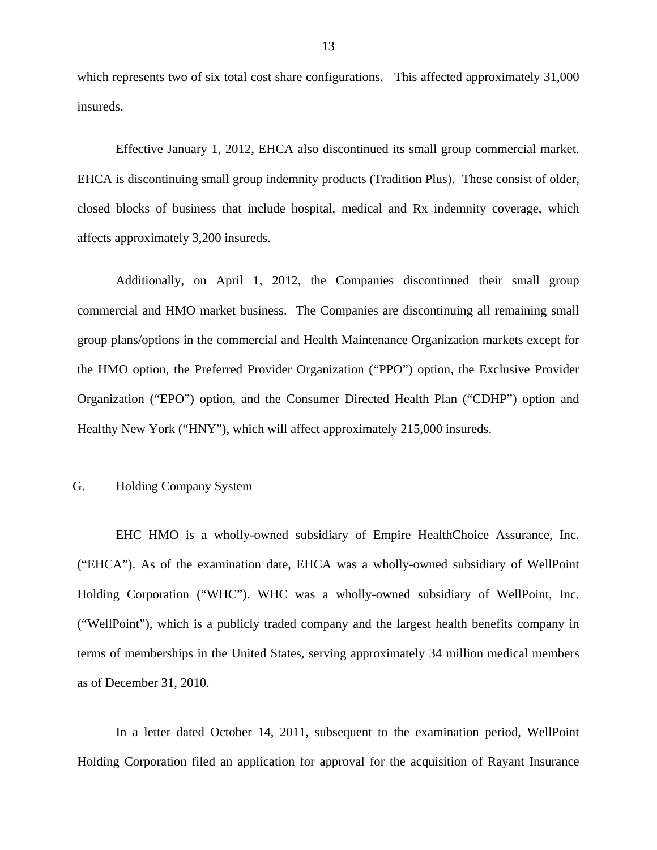<span id="page-14-0"></span>which represents two of six total cost share configurations. This affected approximately 31,000 insureds.

Effective January 1, 2012, EHCA also discontinued its small group commercial market. EHCA is discontinuing small group indemnity products (Tradition Plus). These consist of older, closed blocks of business that include hospital, medical and Rx indemnity coverage, which affects approximately 3,200 insureds.

Additionally, on April 1, 2012, the Companies discontinued their small group commercial and HMO market business. The Companies are discontinuing all remaining small group plans/options in the commercial and Health Maintenance Organization markets except for the HMO option, the Preferred Provider Organization ("PPO") option, the Exclusive Provider Organization ("EPO") option, and the Consumer Directed Health Plan ("CDHP") option and Healthy New York ("HNY"), which will affect approximately 215,000 insureds.

# G. Holding Company System

EHC HMO is a wholly-owned subsidiary of Empire HealthChoice Assurance, Inc. ("EHCA"). As of the examination date, EHCA was a wholly-owned subsidiary of WellPoint Holding Corporation ("WHC"). WHC was a wholly-owned subsidiary of WellPoint, Inc. ("WellPoint"), which is a publicly traded company and the largest health benefits company in terms of memberships in the United States, serving approximately 34 million medical members as of December 31, 2010.

In a letter dated October 14, 2011, subsequent to the examination period, WellPoint Holding Corporation filed an application for approval for the acquisition of Rayant Insurance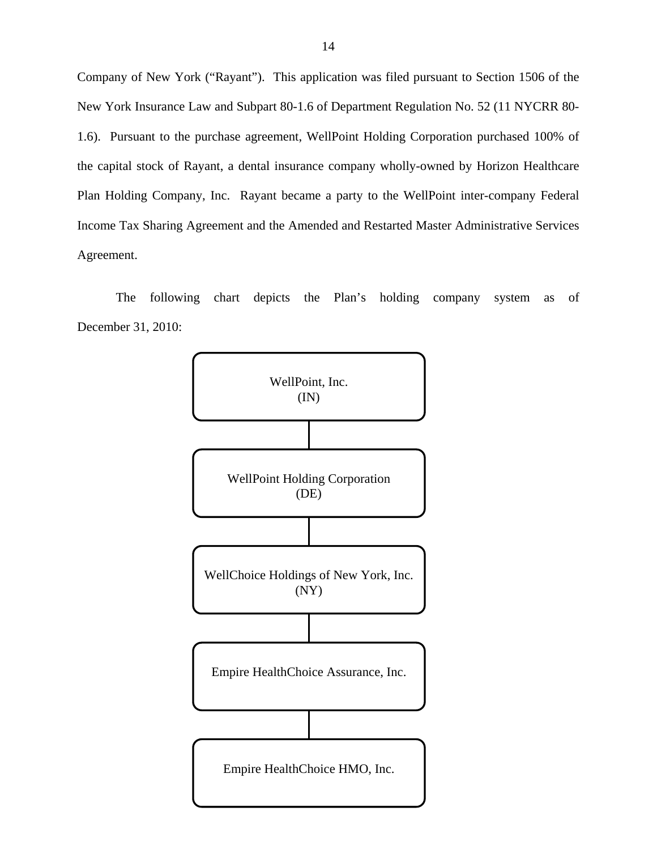Company of New York ("Rayant"). This application was filed pursuant to Section 1506 of the New York Insurance Law and Subpart 80-1.6 of Department Regulation No. 52 (11 NYCRR 80- 1.6). Pursuant to the purchase agreement, WellPoint Holding Corporation purchased 100% of the capital stock of Rayant, a dental insurance company wholly-owned by Horizon Healthcare Plan Holding Company, Inc. Rayant became a party to the WellPoint inter-company Federal Income Tax Sharing Agreement and the Amended and Restarted Master Administrative Services Agreement.

The following chart depicts the Plan's holding company system as of December 31, 2010:

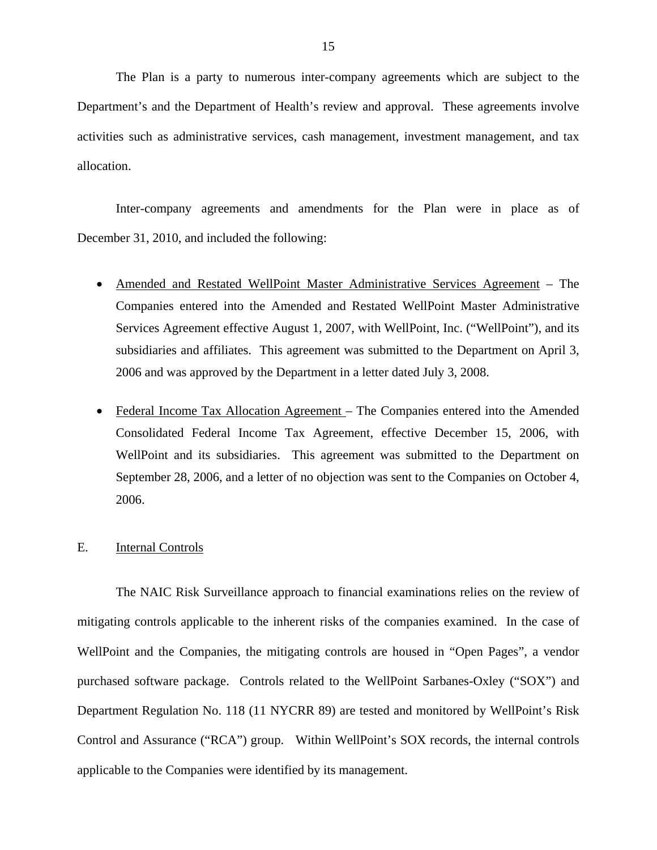<span id="page-16-0"></span>The Plan is a party to numerous inter-company agreements which are subject to the Department's and the Department of Health's review and approval. These agreements involve activities such as administrative services, cash management, investment management, and tax allocation.

Inter-company agreements and amendments for the Plan were in place as of December 31, 2010, and included the following:

- Amended and Restated WellPoint Master Administrative Services Agreement The Companies entered into the Amended and Restated WellPoint Master Administrative Services Agreement effective August 1, 2007, with WellPoint, Inc. ("WellPoint"), and its subsidiaries and affiliates. This agreement was submitted to the Department on April 3, 2006 and was approved by the Department in a letter dated July 3, 2008.
- Federal Income Tax Allocation Agreement The Companies entered into the Amended Consolidated Federal Income Tax Agreement, effective December 15, 2006, with WellPoint and its subsidiaries. This agreement was submitted to the Department on September 28, 2006, and a letter of no objection was sent to the Companies on October 4, 2006.

#### E. Internal Controls

The NAIC Risk Surveillance approach to financial examinations relies on the review of mitigating controls applicable to the inherent risks of the companies examined. In the case of WellPoint and the Companies, the mitigating controls are housed in "Open Pages", a vendor purchased software package. Controls related to the WellPoint Sarbanes-Oxley ("SOX") and Department Regulation No. 118 (11 NYCRR 89) are tested and monitored by WellPoint's Risk Control and Assurance ("RCA") group. Within WellPoint's SOX records, the internal controls applicable to the Companies were identified by its management.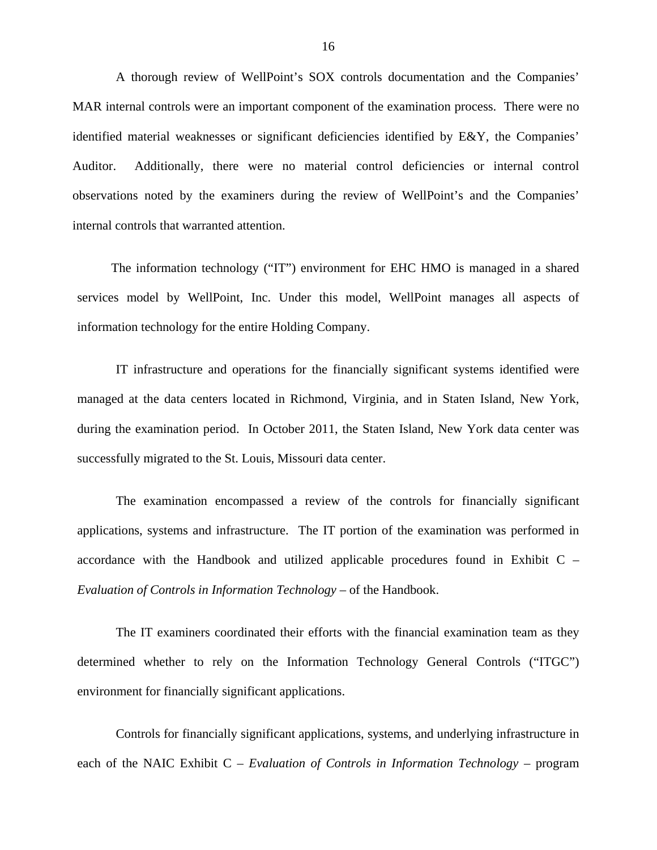A thorough review of WellPoint's SOX controls documentation and the Companies' MAR internal controls were an important component of the examination process. There were no identified material weaknesses or significant deficiencies identified by E&Y, the Companies' Auditor. Additionally, there were no material control deficiencies or internal control observations noted by the examiners during the review of WellPoint's and the Companies' internal controls that warranted attention.

The information technology ("IT") environment for EHC HMO is managed in a shared services model by WellPoint, Inc. Under this model, WellPoint manages all aspects of information technology for the entire Holding Company.

IT infrastructure and operations for the financially significant systems identified were managed at the data centers located in Richmond, Virginia, and in Staten Island, New York, during the examination period. In October 2011, the Staten Island, New York data center was successfully migrated to the St. Louis, Missouri data center.

The examination encompassed a review of the controls for financially significant applications, systems and infrastructure. The IT portion of the examination was performed in accordance with the Handbook and utilized applicable procedures found in Exhibit C – *Evaluation of Controls in Information Technology* – of the Handbook.

The IT examiners coordinated their efforts with the financial examination team as they determined whether to rely on the Information Technology General Controls ("ITGC") environment for financially significant applications.

Controls for financially significant applications, systems, and underlying infrastructure in each of the NAIC Exhibit C – *Evaluation of Controls in Information Technology* – program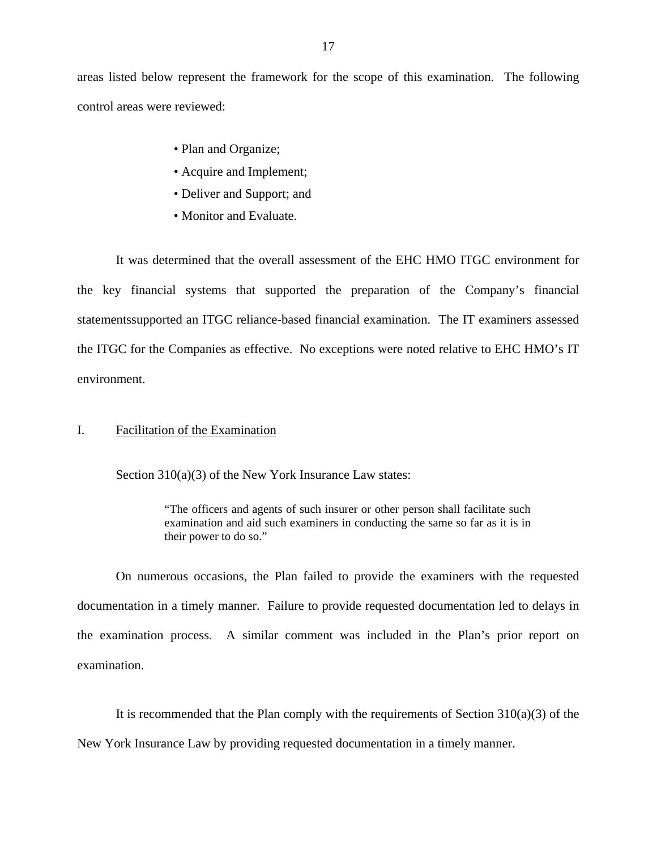<span id="page-18-0"></span>areas listed below represent the framework for the scope of this examination. The following control areas were reviewed:

- Plan and Organize;
- Acquire and Implement;
- Deliver and Support; and
- Monitor and Evaluate.

It was determined that the overall assessment of the EHC HMO ITGC environment for the key financial systems that supported the preparation of the Company's financial statementssupported an ITGC reliance-based financial examination. The IT examiners assessed the ITGC for the Companies as effective. No exceptions were noted relative to EHC HMO's IT environment.

# I. Facilitation of the Examination

Section 310(a)(3) of the New York Insurance Law states:

"The officers and agents of such insurer or other person shall facilitate such examination and aid such examiners in conducting the same so far as it is in their power to do so."

On numerous occasions, the Plan failed to provide the examiners with the requested documentation in a timely manner. Failure to provide requested documentation led to delays in the examination process. A similar comment was included in the Plan's prior report on examination.

It is recommended that the Plan comply with the requirements of Section  $310(a)(3)$  of the New York Insurance Law by providing requested documentation in a timely manner.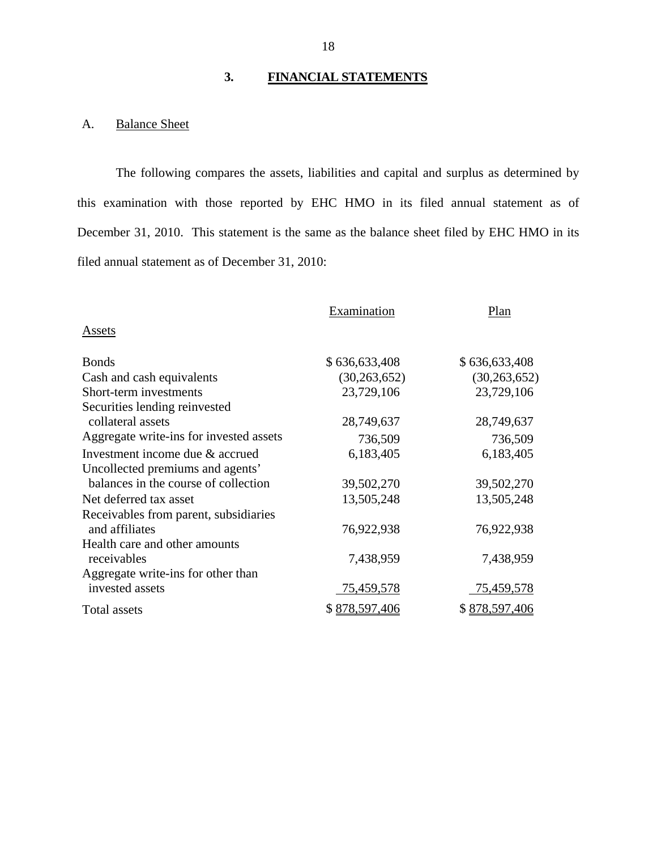# **3. FINANCIAL STATEMENTS**

# A. Balance Sheet

The following compares the assets, liabilities and capital and surplus as determined by this examination with those reported by EHC HMO in its filed annual statement as of December 31, 2010. This statement is the same as the balance sheet filed by EHC HMO in its filed annual statement as of December 31, 2010:

|                                         | Examination    | Plan           |
|-----------------------------------------|----------------|----------------|
| Assets                                  |                |                |
| <b>Bonds</b>                            | \$636,633,408  | \$636,633,408  |
| Cash and cash equivalents               | (30, 263, 652) | (30, 263, 652) |
| Short-term investments                  | 23,729,106     | 23,729,106     |
| Securities lending reinvested           |                |                |
| collateral assets                       | 28,749,637     | 28,749,637     |
| Aggregate write-ins for invested assets | 736,509        | 736,509        |
| Investment income due & accrued         | 6,183,405      | 6,183,405      |
| Uncollected premiums and agents'        |                |                |
| balances in the course of collection    | 39,502,270     | 39,502,270     |
| Net deferred tax asset                  | 13,505,248     | 13,505,248     |
| Receivables from parent, subsidiaries   |                |                |
| and affiliates                          | 76,922,938     | 76,922,938     |
| Health care and other amounts           |                |                |
| receivables                             | 7,438,959      | 7,438,959      |
| Aggregate write-ins for other than      |                |                |
| invested assets                         | 75,459,578     | 75,459,578     |
| Total assets                            | \$878,597,406  | \$878,597,406  |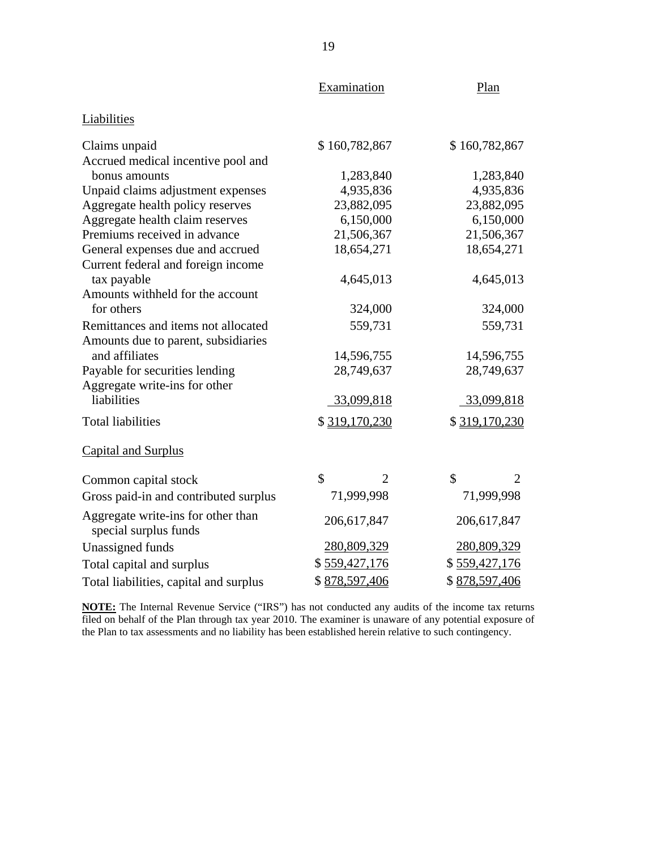|                                                             | Examination                    | Plan                                        |  |
|-------------------------------------------------------------|--------------------------------|---------------------------------------------|--|
| Liabilities                                                 |                                |                                             |  |
| Claims unpaid                                               | \$160,782,867                  | \$160,782,867                               |  |
| Accrued medical incentive pool and                          |                                |                                             |  |
| bonus amounts                                               | 1,283,840                      | 1,283,840                                   |  |
| Unpaid claims adjustment expenses                           | 4,935,836                      | 4,935,836                                   |  |
| Aggregate health policy reserves                            | 23,882,095                     | 23,882,095                                  |  |
| Aggregate health claim reserves                             | 6,150,000                      | 6,150,000                                   |  |
| Premiums received in advance                                | 21,506,367                     | 21,506,367                                  |  |
| General expenses due and accrued                            | 18,654,271                     | 18,654,271                                  |  |
| Current federal and foreign income                          |                                |                                             |  |
| tax payable                                                 | 4,645,013                      | 4,645,013                                   |  |
| Amounts withheld for the account                            |                                |                                             |  |
| for others                                                  | 324,000                        | 324,000                                     |  |
| Remittances and items not allocated                         | 559,731                        | 559,731                                     |  |
| Amounts due to parent, subsidiaries                         |                                |                                             |  |
| and affiliates                                              | 14,596,755                     | 14,596,755                                  |  |
| Payable for securities lending                              | 28,749,637                     | 28,749,637                                  |  |
| Aggregate write-ins for other                               |                                |                                             |  |
| liabilities                                                 | 33,099,818<br>33,099,818       |                                             |  |
| <b>Total liabilities</b>                                    | \$319,170,230<br>\$319,170,230 |                                             |  |
| <b>Capital and Surplus</b>                                  |                                |                                             |  |
| Common capital stock                                        | \$<br>$\overline{2}$           | $\mathbf{\hat{S}}$<br>$\mathcal{D}_{\cdot}$ |  |
| Gross paid-in and contributed surplus                       | 71,999,998                     | 71,999,998                                  |  |
| Aggregate write-ins for other than<br>special surplus funds | 206,617,847                    | 206,617,847                                 |  |
| Unassigned funds                                            | 280,809,329                    | 280,809,329                                 |  |
| Total capital and surplus                                   | \$559,427,176                  | \$559,427,176                               |  |
| Total liabilities, capital and surplus                      | \$878,597,406                  | \$878,597,406                               |  |

**NOTE:** The Internal Revenue Service ("IRS") has not conducted any audits of the income tax returns filed on behalf of the Plan through tax year 2010. The examiner is unaware of any potential exposure of the Plan to tax assessments and no liability has been established herein relative to such contingency.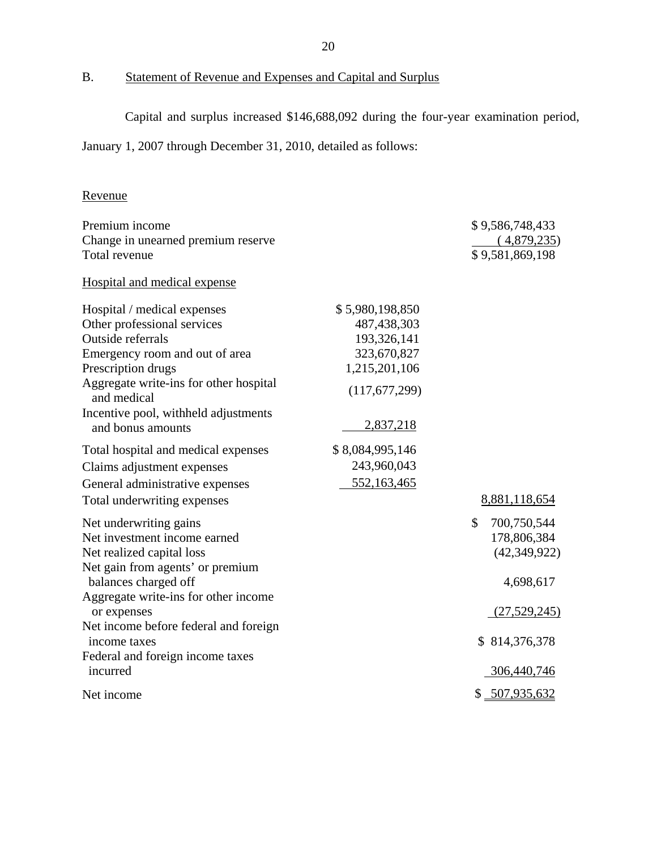<span id="page-21-0"></span>B. Statement of Revenue and Expenses and Capital and Surplus

Capital and surplus increased \$146,688,092 during the four-year examination period,

January 1, 2007 through December 31, 2010, detailed as follows:

# Revenue

| Premium income                                            |                            | \$9,586,748,433   |
|-----------------------------------------------------------|----------------------------|-------------------|
| Change in unearned premium reserve                        |                            | (4,879,235)       |
| Total revenue                                             |                            | \$9,581,869,198   |
| Hospital and medical expense                              |                            |                   |
| Hospital / medical expenses                               | \$5,980,198,850            |                   |
| Other professional services<br>Outside referrals          | 487,438,303<br>193,326,141 |                   |
| Emergency room and out of area                            | 323,670,827                |                   |
| Prescription drugs                                        | 1,215,201,106              |                   |
| Aggregate write-ins for other hospital<br>and medical     | (117,677,299)              |                   |
| Incentive pool, withheld adjustments<br>and bonus amounts | 2,837,218                  |                   |
| Total hospital and medical expenses                       | \$8,084,995,146            |                   |
| Claims adjustment expenses                                | 243,960,043                |                   |
| General administrative expenses                           | 552,163,465                |                   |
| Total underwriting expenses                               |                            | 8,881,118,654     |
| Net underwriting gains                                    |                            | \$<br>700,750,544 |
| Net investment income earned                              |                            | 178,806,384       |
| Net realized capital loss                                 |                            | (42, 349, 922)    |
| Net gain from agents' or premium                          |                            |                   |
| balances charged off                                      |                            | 4,698,617         |
| Aggregate write-ins for other income<br>or expenses       |                            | (27,529,245)      |
| Net income before federal and foreign                     |                            |                   |
| income taxes                                              |                            | \$814,376,378     |
| Federal and foreign income taxes<br>incurred              |                            | 306,440,746       |
|                                                           |                            |                   |
| Net income                                                |                            | \$ 507,935,632    |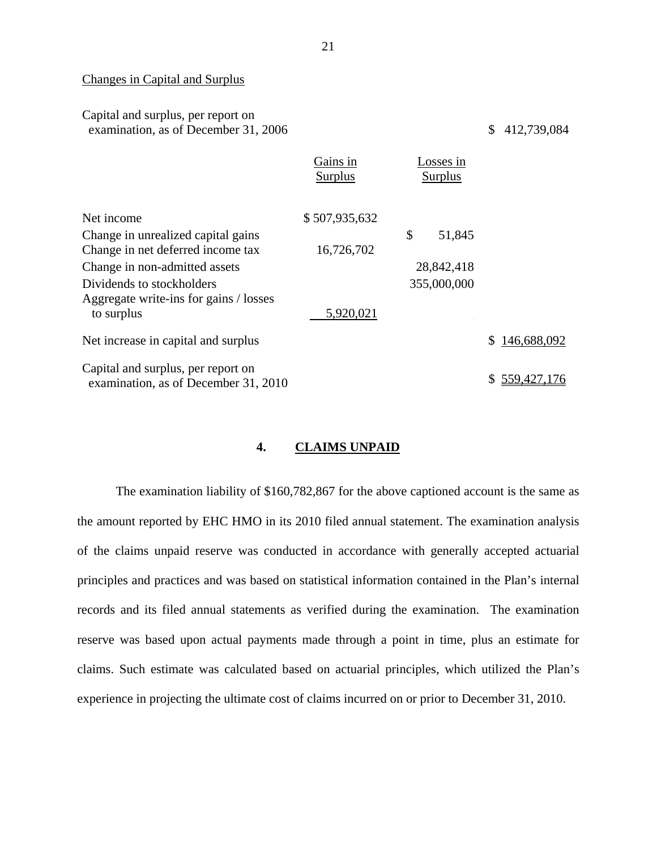# Changes in Capital and Surplus

| Capital and surplus, per report on<br>examination, as of December 31, 2006 |                            |                             | 412,739,084<br>\$ |
|----------------------------------------------------------------------------|----------------------------|-----------------------------|-------------------|
|                                                                            | Gains in<br><b>Surplus</b> | Losses in<br><b>Surplus</b> |                   |
| Net income                                                                 | \$507,935,632              |                             |                   |
| Change in unrealized capital gains                                         |                            | \$<br>51,845                |                   |
| Change in net deferred income tax                                          | 16,726,702                 |                             |                   |
| Change in non-admitted assets                                              |                            | 28,842,418                  |                   |
| Dividends to stockholders                                                  |                            | 355,000,000                 |                   |
| Aggregate write-ins for gains / losses                                     |                            |                             |                   |
| to surplus                                                                 | 5,920,021                  |                             |                   |
| Net increase in capital and surplus                                        |                            |                             | 146,688,092<br>\$ |
| Capital and surplus, per report on                                         |                            |                             |                   |
| examination, as of December 31, 2010                                       |                            |                             | 559,427,176<br>S. |

# **4. CLAIMS UNPAID**

The examination liability of \$160,782,867 for the above captioned account is the same as the amount reported by EHC HMO in its 2010 filed annual statement. The examination analysis of the claims unpaid reserve was conducted in accordance with generally accepted actuarial principles and practices and was based on statistical information contained in the Plan's internal records and its filed annual statements as verified during the examination. The examination reserve was based upon actual payments made through a point in time, plus an estimate for claims. Such estimate was calculated based on actuarial principles, which utilized the Plan's experience in projecting the ultimate cost of claims incurred on or prior to December 31, 2010.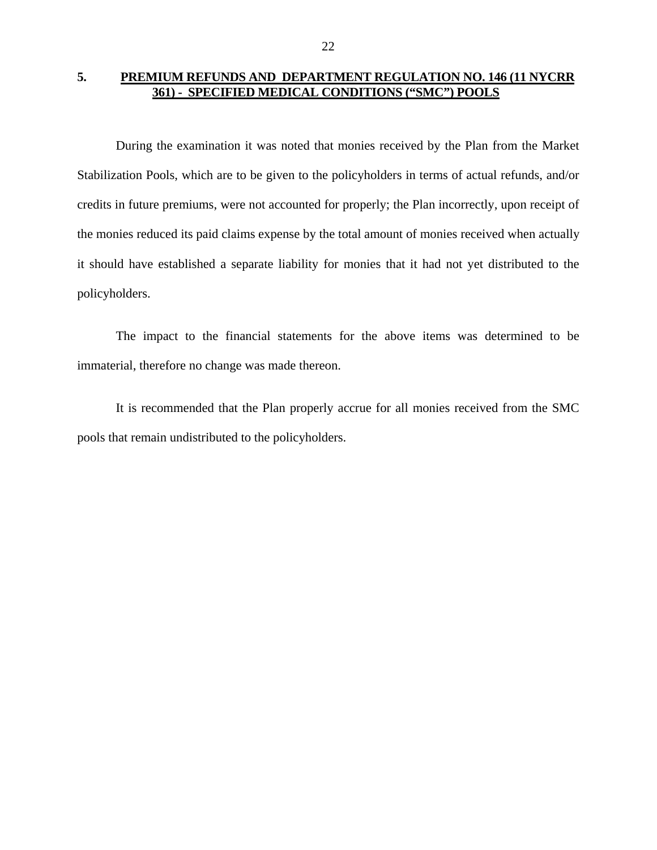# <span id="page-23-0"></span>**5. PREMIUM REFUNDS AND DEPARTMENT REGULATION NO. 146 (11 NYCRR 361) - SPECIFIED MEDICAL CONDITIONS ("SMC") POOLS**

During the examination it was noted that monies received by the Plan from the Market Stabilization Pools, which are to be given to the policyholders in terms of actual refunds, and/or credits in future premiums, were not accounted for properly; the Plan incorrectly, upon receipt of the monies reduced its paid claims expense by the total amount of monies received when actually it should have established a separate liability for monies that it had not yet distributed to the policyholders.

The impact to the financial statements for the above items was determined to be immaterial, therefore no change was made thereon.

It is recommended that the Plan properly accrue for all monies received from the SMC pools that remain undistributed to the policyholders.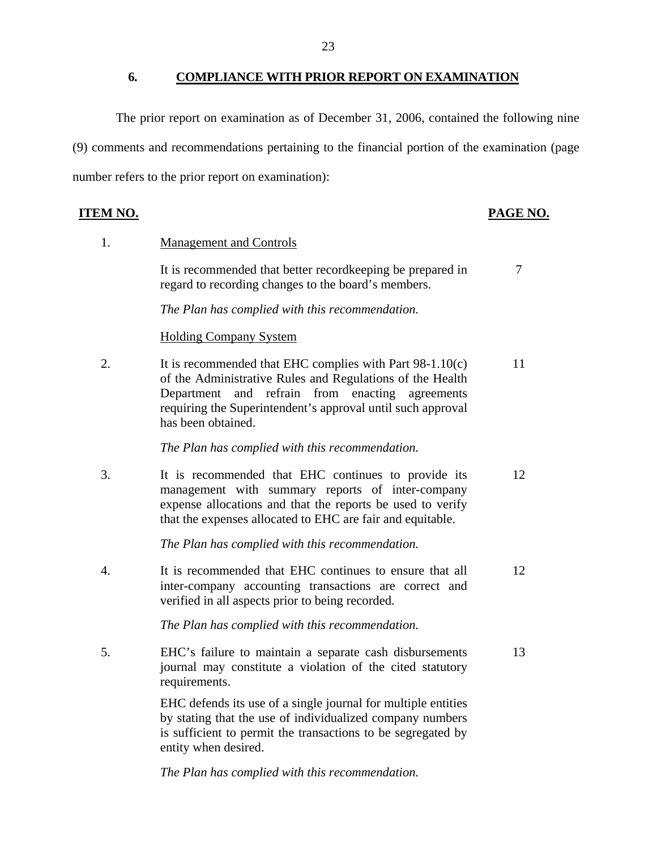**6. COMPLIANCE WITH PRIOR REPORT ON EXAMINATION** 

<span id="page-24-0"></span>The prior report on examination as of December 31, 2006, contained the following nine (9) comments and recommendations pertaining to the financial portion of the examination (page number refers to the prior report on examination):

|--|

# **PAGE NO. PAGE NO.**

1. Management and Controls

It is recommended that better record keeping be prepared in  $\frac{7}{7}$ regard to recording changes to the board's members.

*The Plan has complied with this recommendation.* 

# Holding Company System

2. It is recommended that EHC complies with Part 98-1.10(c) 11 of the Administrative Rules and Regulations of the Health Department and refrain from enacting agreements requiring the Superintendent's approval until such approval has been obtained.

*The Plan has complied with this recommendation.* 

3. It is recommended that EHC continues to provide its 12 management with summary reports of inter-company expense allocations and that the reports be used to verify that the expenses allocated to EHC are fair and equitable.

*The Plan has complied with this recommendation.* 

4. It is recommended that EHC continues to ensure that all 12 inter-company accounting transactions are correct and verified in all aspects prior to being recorded.

*The Plan has complied with this recommendation.* 

5. EHC's failure to maintain a separate cash disbursements 13 journal may constitute a violation of the cited statutory requirements.

> EHC defends its use of a single journal for multiple entities by stating that the use of individualized company numbers is sufficient to permit the transactions to be segregated by entity when desired.

*The Plan has complied with this recommendation.*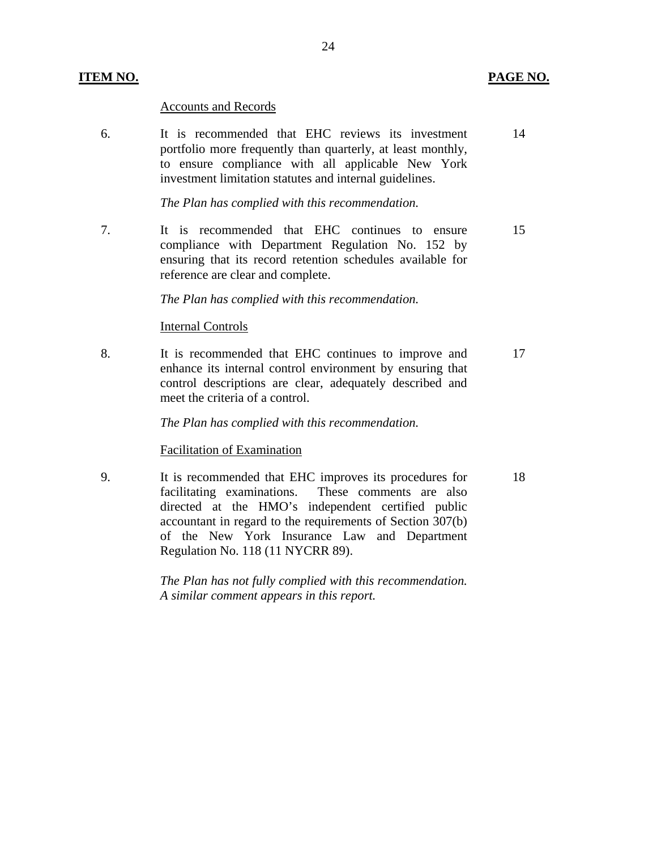#### Accounts and Records

6. It is recommended that EHC reviews its investment 14 portfolio more frequently than quarterly, at least monthly, to ensure compliance with all applicable New York investment limitation statutes and internal guidelines.

## *The Plan has complied with this recommendation.*

7. It is recommended that EHC continues to ensure 15 compliance with Department Regulation No. 152 by ensuring that its record retention schedules available for reference are clear and complete.

#### *The Plan has complied with this recommendation.*

#### Internal Controls

8. It is recommended that EHC continues to improve and 17 enhance its internal control environment by ensuring that control descriptions are clear, adequately described and meet the criteria of a control.

*The Plan has complied with this recommendation.* 

# Facilitation of Examination

9. It is recommended that EHC improves its procedures for 18 facilitating examinations. These comments are also directed at the HMO's independent certified public accountant in regard to the requirements of Section 307(b) of the New York Insurance Law and Department Regulation No. 118 (11 NYCRR 89).

> *The Plan has not fully complied with this recommendation. A similar comment appears in this report.*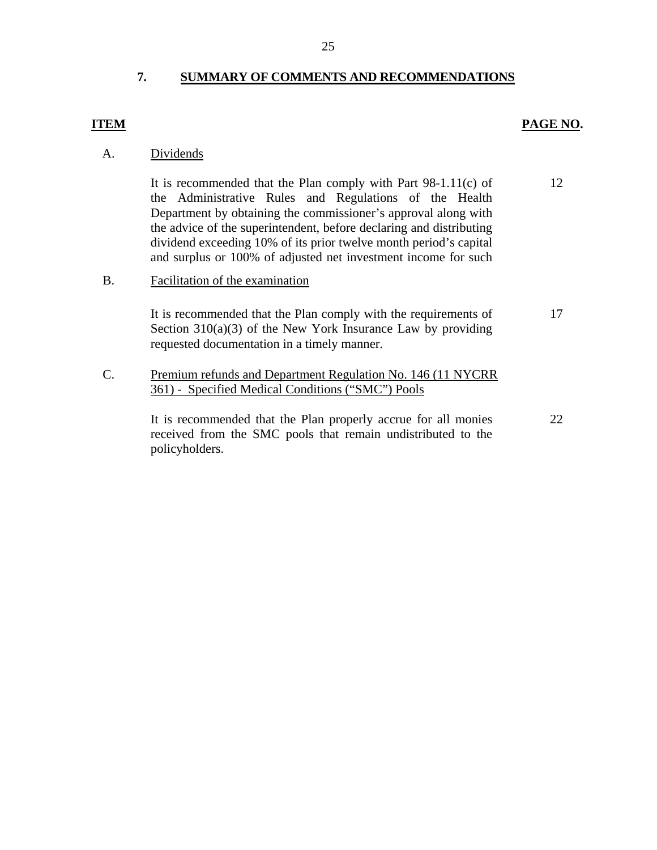# **7. SUMMARY OF COMMENTS AND RECOMMENDATIONS**

## <span id="page-26-0"></span>**ITEM**

# **PAGE NO.**

A. Dividends

It is recommended that the Plan comply with Part 98-1.11(c) of the Administrative Rules and Regulations of the Health Department by obtaining the commissioner's approval along with the advice of the superintendent, before declaring and distributing dividend exceeding 10% of its prior twelve month period's capital and surplus or 100% of adjusted net investment income for such 12

# B. Facilitation of the examination

It is recommended that the Plan comply with the requirements of Section  $310(a)(3)$  of the New York Insurance Law by providing requested documentation in a timely manner. 17

C. Premium refunds and Department Regulation No. 146 (11 NYCRR 361) - Specified Medical Conditions ("SMC") Pools

> It is recommended that the Plan properly accrue for all monies received from the SMC pools that remain undistributed to the policyholders. 22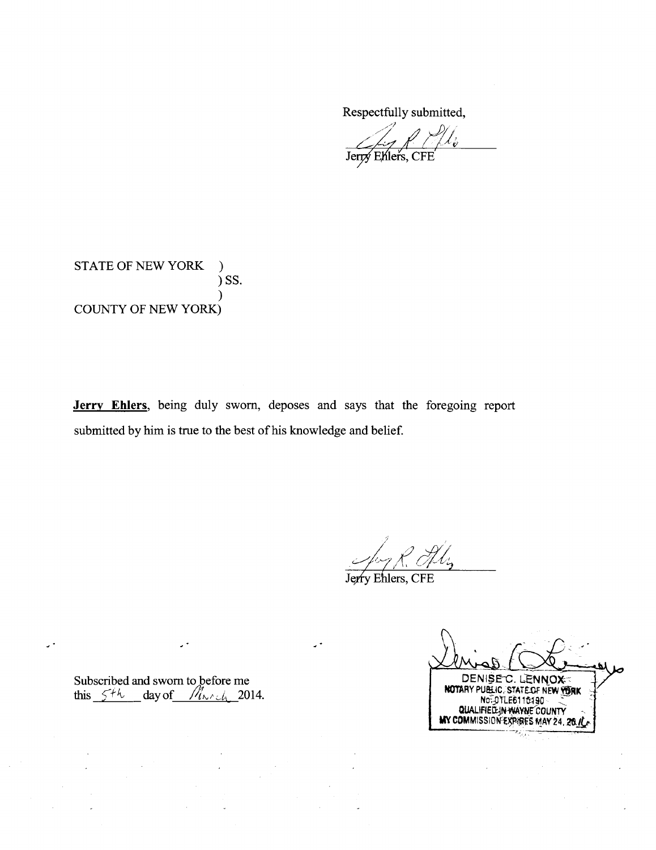Respectfully submitted,

Jerry Ehlers, CFE

STATE OF NEW YORK  $\mathcal{L}$  $)$  SS. **COUNTY OF NEW YORK)** 

Jerry Ehlers, being duly sworn, deposes and says that the foregoing report submitted by him is true to the best of his knowledge and belief.

Hl.,

Jerry Ehlers, CFE

Subscribed and sworn to before me<br>this  $5+k$  day of  $M_{\lambda \wedge \lambda}$  2014.

 $\mathcal{L}$ 

 $\mathcal{L}^{\frac{1}{2}}$ 

DENISE C. LENNOX QUALIFIED IN WAYNE COUNTY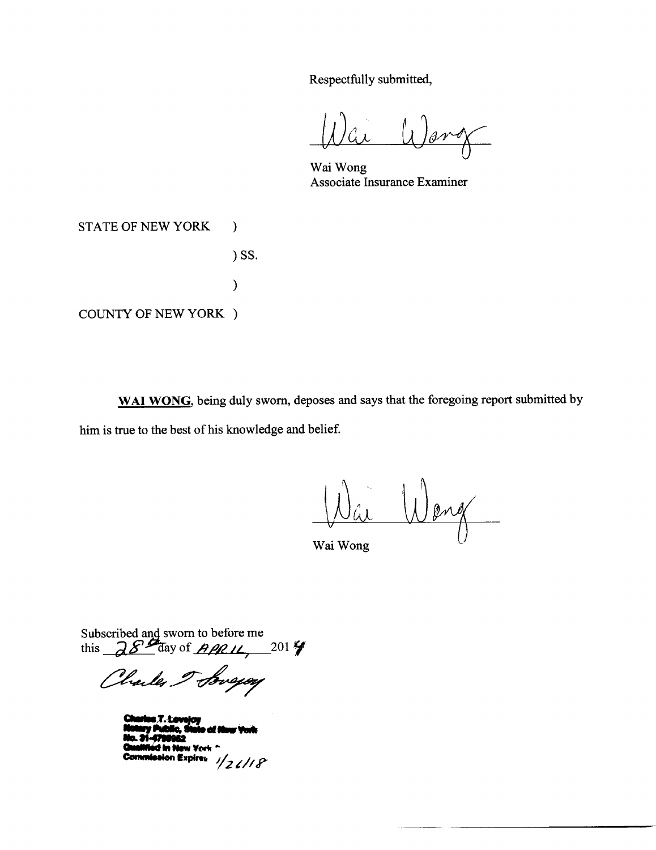Respectfully submitted,

Wai Wong Associate Insurance Examiner

**STATE OF NEW YORK** 

) SS.

 $\mathcal{L}$ 

 $\mathcal{E}$ 

**COUNTY OF NEW YORK )** 

WAI WONG, being duly sworn, deposes and says that the foregoing report submitted by him is true to the best of his knowledge and belief.

 $\overline{\phantom{a}}$ ang

Wai Wong

Subscribed and sworn to before me<br>this  $28\frac{\cancel{3}3.000}{2}$  day of  $\cancel{49.01}\%$ 

Charles Toweyay

sion Expires  $1/2$   $\ell$  / 18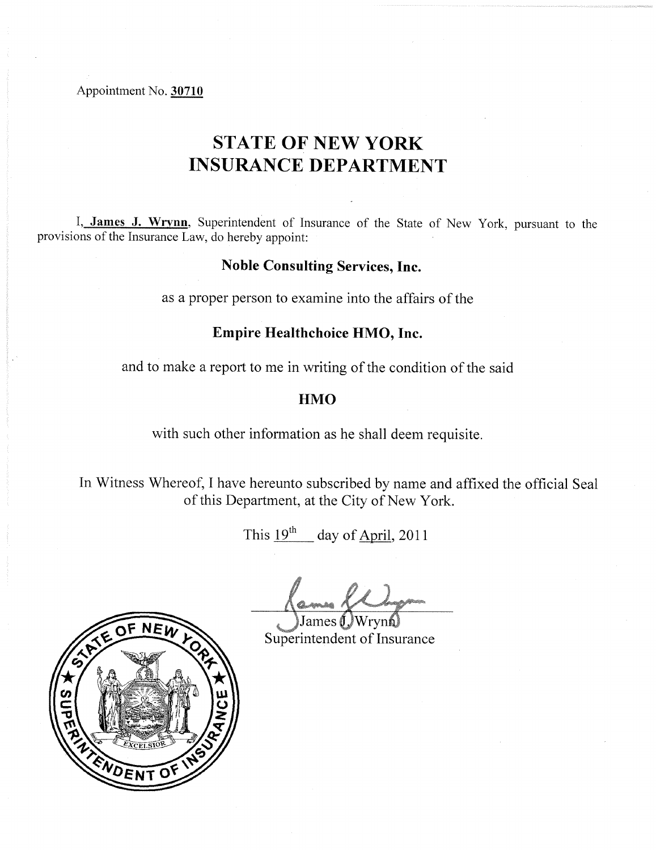Appointment No. 30710

# **STATE OF NEW YORK INSURANCE DEPARTMENT**

I, James J. Wrynn, Superintendent of Insurance of the State of New York, pursuant to the provisions of the Insurance Law, do hereby appoint:

# **Noble Consulting Services, Inc.**

as a proper person to examine into the affairs of the

# Empire Healthchoice HMO, Inc.

and to make a report to me in writing of the condition of the said

# **HMO**

with such other information as he shall deem requisite.

In Witness Whereof, I have hereunto subscribed by name and affixed the official Seal of this Department, at the City of New York.

This  $19^{th}$  day of April, 2011

Superintendent of Insurance